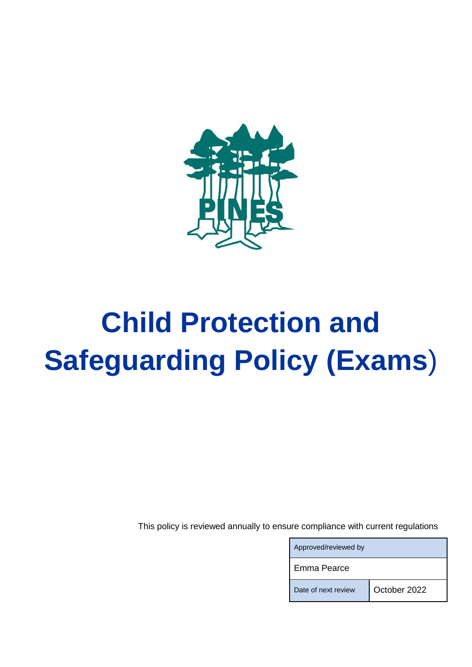

# **Child Protection and Safeguarding Policy (Exams**)

This policy is reviewed annually to ensure compliance with current regulations

| Approved/reviewed by |              |
|----------------------|--------------|
| Emma Pearce          |              |
| Date of next review  | October 2022 |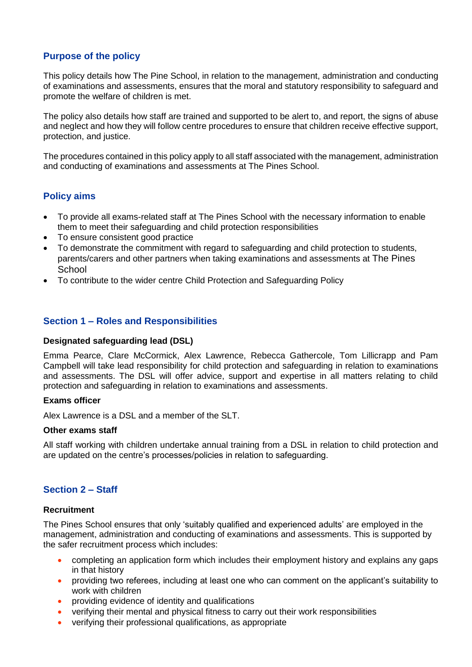# **Purpose of the policy**

This policy details how The Pine School, in relation to the management, administration and conducting of examinations and assessments, ensures that the moral and statutory responsibility to safeguard and promote the welfare of children is met.

The policy also details how staff are trained and supported to be alert to, and report, the signs of abuse and neglect and how they will follow centre procedures to ensure that children receive effective support, protection, and justice.

The procedures contained in this policy apply to all staff associated with the management, administration and conducting of examinations and assessments at The Pines School.

# **Policy aims**

- To provide all exams-related staff at The Pines School with the necessary information to enable them to meet their safeguarding and child protection responsibilities
- To ensure consistent good practice
- To demonstrate the commitment with regard to safeguarding and child protection to students, parents/carers and other partners when taking examinations and assessments at The Pines **School**
- To contribute to the wider centre Child Protection and Safeguarding Policy

### **Section 1 – Roles and Responsibilities**

#### **Designated safeguarding lead (DSL)**

Emma Pearce, Clare McCormick, Alex Lawrence, Rebecca Gathercole, Tom Lillicrapp and Pam Campbell will take lead responsibility for child protection and safeguarding in relation to examinations and assessments. The DSL will offer advice, support and expertise in all matters relating to child protection and safeguarding in relation to examinations and assessments.

#### **Exams officer**

Alex Lawrence is a DSL and a member of the SLT.

#### **Other exams staff**

All staff working with children undertake annual training from a DSL in relation to child protection and are updated on the centre's processes/policies in relation to safeguarding.

## **Section 2 – Staff**

#### **Recruitment**

The Pines School ensures that only 'suitably qualified and experienced adults' are employed in the management, administration and conducting of examinations and assessments. This is supported by the safer recruitment process which includes:

- completing an application form which includes their employment history and explains any gaps in that history
- providing two referees, including at least one who can comment on the applicant's suitability to work with children
- **•** providing evidence of identity and qualifications
- verifying their mental and physical fitness to carry out their work responsibilities
- verifying their professional qualifications, as appropriate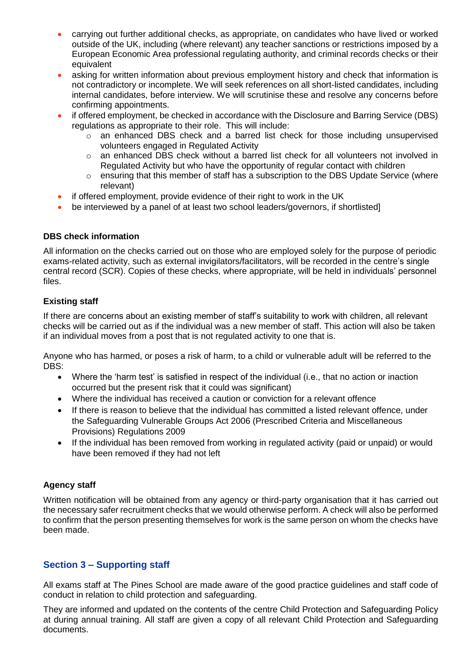- carrying out further additional checks, as appropriate, on candidates who have lived or worked outside of the UK, including (where relevant) any teacher sanctions or restrictions imposed by a European Economic Area professional regulating authority, and criminal records checks or their equivalent
- asking for written information about previous employment history and check that information is not contradictory or incomplete. We will seek references on all short-listed candidates, including internal candidates, before interview. We will scrutinise these and resolve any concerns before confirming appointments.
- if offered employment, be checked in accordance with the Disclosure and Barring Service (DBS) regulations as appropriate to their role. This will include:
	- $\circ$  an enhanced DBS check and a barred list check for those including unsupervised volunteers engaged in Regulated Activity
	- o an enhanced DBS check without a barred list check for all volunteers not involved in Regulated Activity but who have the opportunity of regular contact with children
	- $\circ$  ensuring that this member of staff has a subscription to the DBS Update Service (where relevant)
- if offered employment, provide evidence of their right to work in the UK
- be interviewed by a panel of at least two school leaders/governors, if shortlisted]

## **DBS check information**

All information on the checks carried out on those who are employed solely for the purpose of periodic exams-related activity, such as external invigilators/facilitators, will be recorded in the centre's single central record (SCR). Copies of these checks, where appropriate, will be held in individuals' personnel files.

## **Existing staff**

If there are concerns about an existing member of staff's suitability to work with children, all relevant checks will be carried out as if the individual was a new member of staff. This action will also be taken if an individual moves from a post that is not regulated activity to one that is.

Anyone who has harmed, or poses a risk of harm, to a child or vulnerable adult will be referred to the DBS:

- Where the 'harm test' is satisfied in respect of the individual (i.e., that no action or inaction occurred but the present risk that it could was significant)
- Where the individual has received a caution or conviction for a relevant offence
- If there is reason to believe that the individual has committed a listed relevant offence, under the Safeguarding Vulnerable Groups Act 2006 (Prescribed Criteria and Miscellaneous Provisions) Regulations 2009
- If the individual has been removed from working in regulated activity (paid or unpaid) or would have been removed if they had not left

# **Agency staff**

Written notification will be obtained from any agency or third-party organisation that it has carried out the necessary safer recruitment checks that we would otherwise perform. A check will also be performed to confirm that the person presenting themselves for work is the same person on whom the checks have been made.

# **Section 3 – Supporting staff**

All exams staff at The Pines School are made aware of the good practice guidelines and staff code of conduct in relation to child protection and safeguarding.

They are informed and updated on the contents of the centre Child Protection and Safeguarding Policy at during annual training. All staff are given a copy of all relevant Child Protection and Safeguarding documents.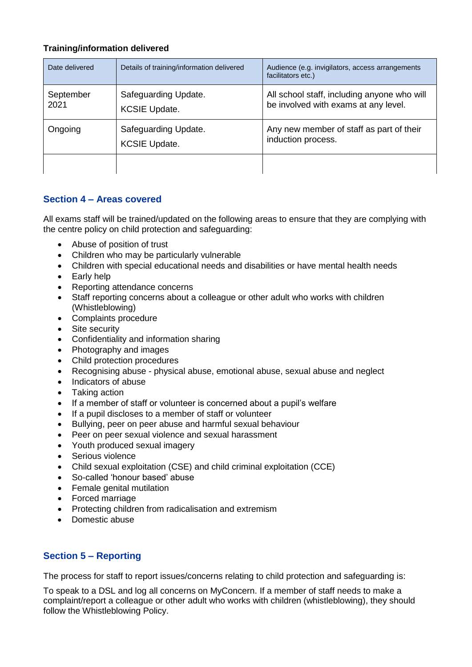## **Training/information delivered**

| Date delivered    | Details of training/information delivered    | Audience (e.g. invigilators, access arrangements<br>facilitators etc.)              |
|-------------------|----------------------------------------------|-------------------------------------------------------------------------------------|
| September<br>2021 | Safeguarding Update.<br><b>KCSIE Update.</b> | All school staff, including anyone who will<br>be involved with exams at any level. |
| Ongoing           | Safeguarding Update.<br><b>KCSIE Update.</b> | Any new member of staff as part of their<br>induction process.                      |
|                   |                                              |                                                                                     |

# **Section 4 – Areas covered**

All exams staff will be trained/updated on the following areas to ensure that they are complying with the centre policy on child protection and safeguarding:

- Abuse of position of trust
- Children who may be particularly vulnerable
- Children with special educational needs and disabilities or have mental health needs
- Early help
- Reporting attendance concerns
- Staff reporting concerns about a colleague or other adult who works with children (Whistleblowing)
- Complaints procedure
- Site security
- Confidentiality and information sharing
- Photography and images
- Child protection procedures
- Recognising abuse physical abuse, emotional abuse, sexual abuse and neglect
- Indicators of abuse
- Taking action
- If a member of staff or volunteer is concerned about a pupil's welfare
- If a pupil discloses to a member of staff or volunteer
- Bullying, peer on peer abuse and harmful sexual behaviour
- Peer on peer sexual violence and sexual harassment
- Youth produced sexual imagery
- Serious violence
- Child sexual exploitation (CSE) and child criminal exploitation (CCE)
- So-called 'honour based' abuse
- Female genital mutilation
- Forced marriage
- Protecting children from radicalisation and extremism
- Domestic abuse

# **Section 5 – Reporting**

The process for staff to report issues/concerns relating to child protection and safeguarding is:

To speak to a DSL and log all concerns on MyConcern. If a member of staff needs to make a complaint/report a colleague or other adult who works with children (whistleblowing), they should follow the Whistleblowing Policy.